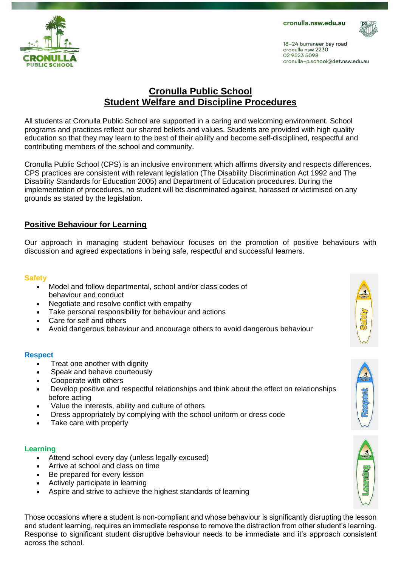cronulla.nsw.edu.au



18-24 burraneer bay road cronulla nsw 2230 02 9523 5098 cronulla-p.school@det.nsw.edu.au



## **Cronulla Public School Student Welfare and Discipline Procedures**

All students at Cronulla Public School are supported in a caring and welcoming environment. School programs and practices reflect our shared beliefs and values. Students are provided with high quality education so that they may learn to the best of their ability and become self-disciplined, respectful and contributing members of the school and community.

Cronulla Public School (CPS) is an inclusive environment which affirms diversity and respects differences. CPS practices are consistent with relevant legislation (The Disability Discrimination Act 1992 and The Disability Standards for Education 2005) and Department of Education procedures. During the implementation of procedures, no student will be discriminated against, harassed or victimised on any grounds as stated by the legislation.

### **Positive Behaviour for Learning**

Our approach in managing student behaviour focuses on the promotion of positive behaviours with discussion and agreed expectations in being safe, respectful and successful learners.

#### **Safety**

- Model and follow departmental, school and/or class codes of behaviour and conduct
- Negotiate and resolve conflict with empathy
- Take personal responsibility for behaviour and actions
- Care for self and others
- Avoid dangerous behaviour and encourage others to avoid dangerous behaviour

#### **Respect**

- Treat one another with dignity
- Speak and behave courteously
- Cooperate with others
- Develop positive and respectful relationships and think about the effect on relationships before acting
- Value the interests, ability and culture of others
- Dress appropriately by complying with the school uniform or dress code
- Take care with property

#### **Learning**

- Attend school every day (unless legally excused)
- Arrive at school and class on time
- Be prepared for every lesson
- Actively participate in learning
- Aspire and strive to achieve the highest standards of learning

Those occasions where a student is non-compliant and whose behaviour is significantly disrupting the lesson and student learning, requires an immediate response to remove the distraction from other student's learning. Response to significant student disruptive behaviour needs to be immediate and it's approach consistent across the school.



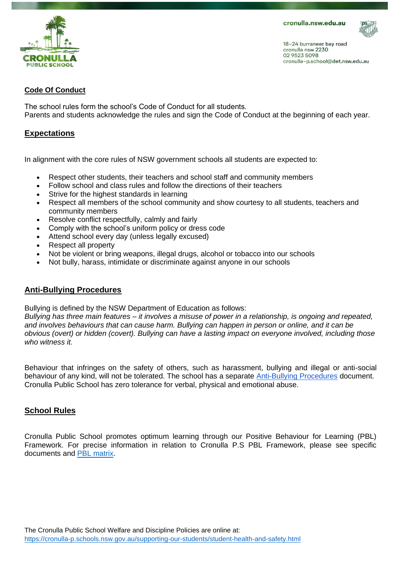

18-24 burraneer bay road cronulla nsw 2230 02 9523 5098 cronulla-p.school@det.nsw.edu.au

#### **Code Of Conduct**

The school rules form the school's Code of Conduct for all students. Parents and students acknowledge the rules and sign the Code of Conduct at the beginning of each year.

#### **Expectations**

In alignment with the core rules of NSW government schools all students are expected to:

- Respect other students, their teachers and school staff and community members
- Follow school and class rules and follow the directions of their teachers
- Strive for the highest standards in learning
- Respect all members of the school community and show courtesy to all students, teachers and community members
- Resolve conflict respectfully, calmly and fairly
- Comply with the school's uniform policy or dress code
- Attend school every day (unless legally excused)
- Respect all property
- Not be violent or bring weapons, illegal drugs, alcohol or tobacco into our schools
- Not bully, harass, intimidate or discriminate against anyone in our schools

#### **Anti-Bullying Procedures**

Bullying is defined by the NSW Department of Education as follows:

*Bullying has three main features – it involves a misuse of power in a relationship, is ongoing and repeated, and involves behaviours that can cause harm. Bullying can happen in person or online, and it can be obvious (overt) or hidden (covert). Bullying can have a lasting impact on everyone involved, including those who witness it.* 

Behaviour that infringes on the safety of others, such as harassment, bullying and illegal or anti-social behaviour of any kind, will not be tolerated. The school has a separate [Anti-Bullying Procedures](https://drive.google.com/a/education.nsw.gov.au/file/d/1H6edAwlLOD818oIOvp4zAt0INzYKRC_Z/view?usp=sharing) document. Cronulla Public School has zero tolerance for verbal, physical and emotional abuse.

#### **School Rules**

Cronulla Public School promotes optimum learning through our Positive Behaviour for Learning (PBL) Framework. For precise information in relation to Cronulla P.S PBL Framework, please see specific documents and [PBL matrix.](https://drive.google.com/file/d/0B91KbmN4bxDxcXQ3UVJkS0dtdEE/view?usp=sharing)